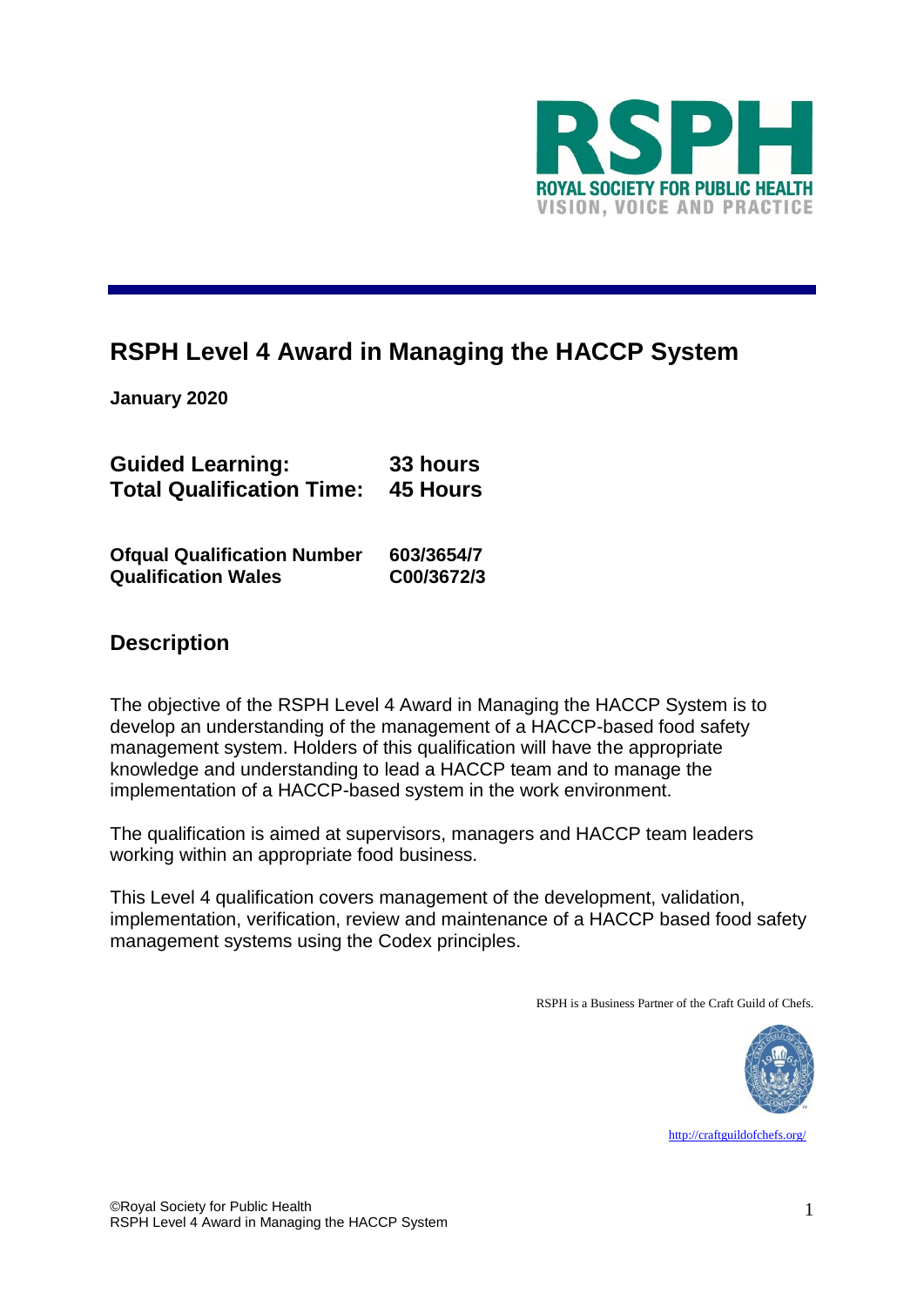

# **RSPH Level 4 Award in Managing the HACCP System**

**January 2020**

| <b>Guided Learning:</b>                   | 33 hours |
|-------------------------------------------|----------|
| <b>Total Qualification Time: 45 Hours</b> |          |
|                                           |          |

| <b>Ofqual Qualification Number</b> | 603/3654/7 |
|------------------------------------|------------|
| <b>Qualification Wales</b>         | C00/3672/3 |

# **Description**

The objective of the RSPH Level 4 Award in Managing the HACCP System is to develop an understanding of the management of a HACCP-based food safety management system. Holders of this qualification will have the appropriate knowledge and understanding to lead a HACCP team and to manage the implementation of a HACCP-based system in the work environment.

The qualification is aimed at supervisors, managers and HACCP team leaders working within an appropriate food business.

This Level 4 qualification covers management of the development, validation, implementation, verification, review and maintenance of a HACCP based food safety management systems using the Codex principles.

RSPH is a Business Partner of the Craft Guild of Chefs.



<http://craftguildofchefs.org/>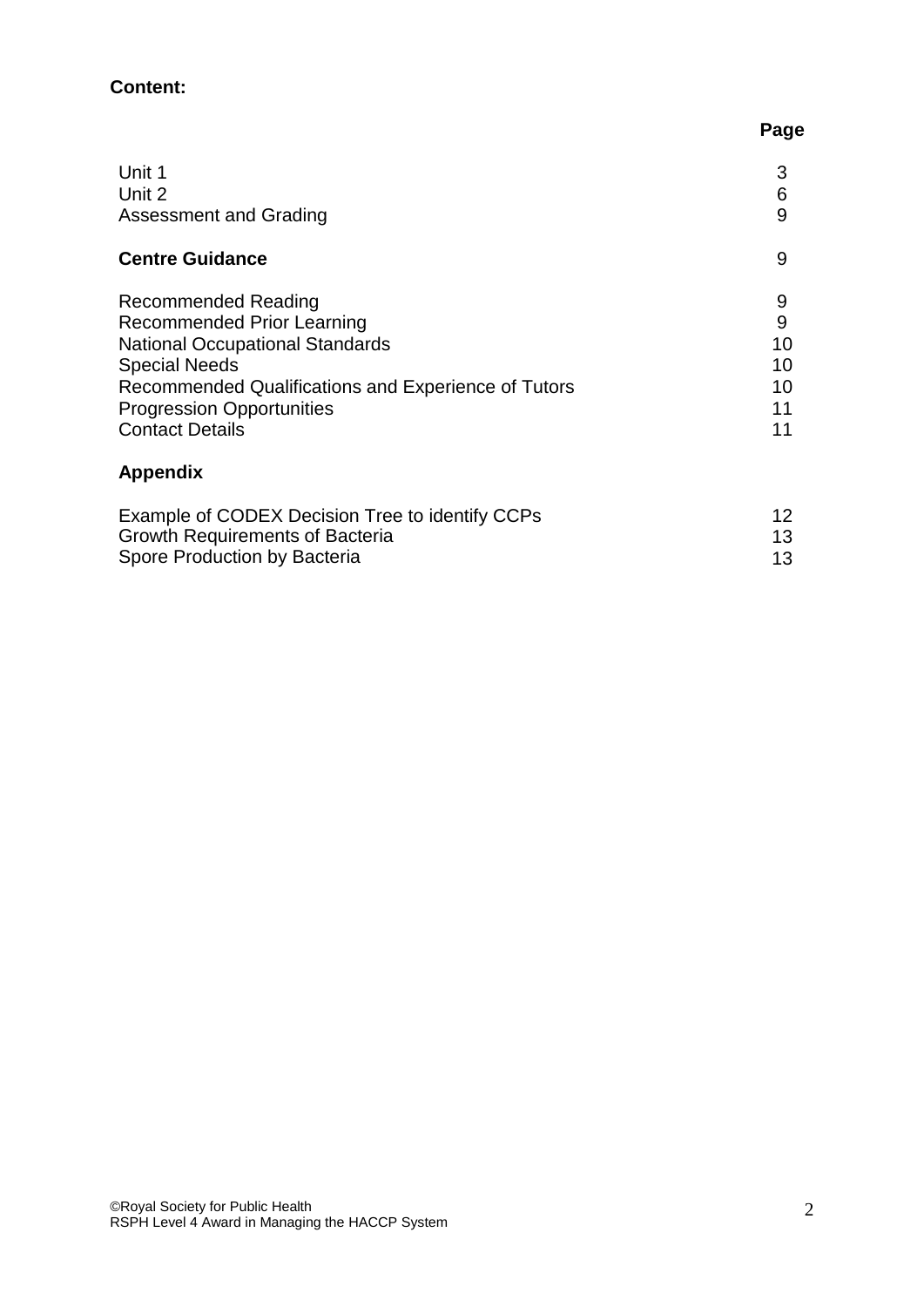# **Content:**

|                                                     | Page |
|-----------------------------------------------------|------|
| Unit 1                                              | 3    |
| Unit 2                                              | 6    |
| <b>Assessment and Grading</b>                       | 9    |
| <b>Centre Guidance</b>                              | 9    |
| <b>Recommended Reading</b>                          | 9    |
| <b>Recommended Prior Learning</b>                   | 9    |
| <b>National Occupational Standards</b>              | 10   |
| <b>Special Needs</b>                                | 10   |
| Recommended Qualifications and Experience of Tutors | 10   |
| <b>Progression Opportunities</b>                    | 11   |
| <b>Contact Details</b>                              | 11   |
| <b>Appendix</b>                                     |      |
| Example of CODEX Decision Tree to identify CCPs     | 12   |
| <b>Growth Requirements of Bacteria</b>              | 13   |

Spore Production by Bacteria

13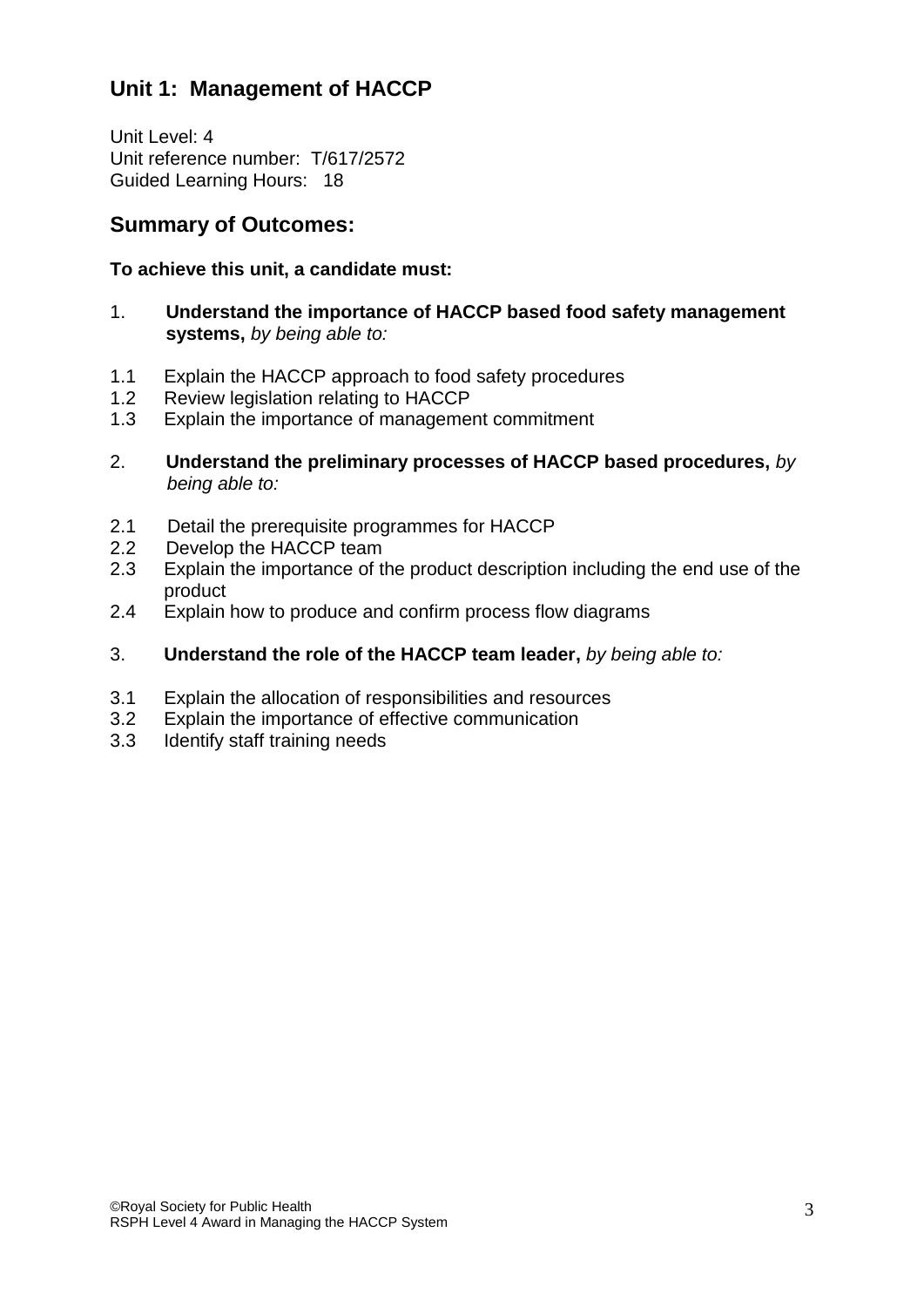# **Unit 1: Management of HACCP**

Unit Level: 4 Unit reference number: T/617/2572 Guided Learning Hours: 18

# **Summary of Outcomes:**

### **To achieve this unit, a candidate must:**

- 1. **Understand the importance of HACCP based food safety management systems,** *by being able to:*
- 1.1 Explain the HACCP approach to food safety procedures
- 1.2 Review legislation relating to HACCP
- 1.3 Explain the importance of management commitment
- 2. **Understand the preliminary processes of HACCP based procedures,** *by being able to:*
- 2.1 Detail the prerequisite programmes for HACCP
- 2.2 Develop the HACCP team
- 2.3 Explain the importance of the product description including the end use of the product
- 2.4 Explain how to produce and confirm process flow diagrams
- 3. **Understand the role of the HACCP team leader,** *by being able to:*
- 3.1 Explain the allocation of responsibilities and resources
- 3.2 Explain the importance of effective communication
- 3.3 Identify staff training needs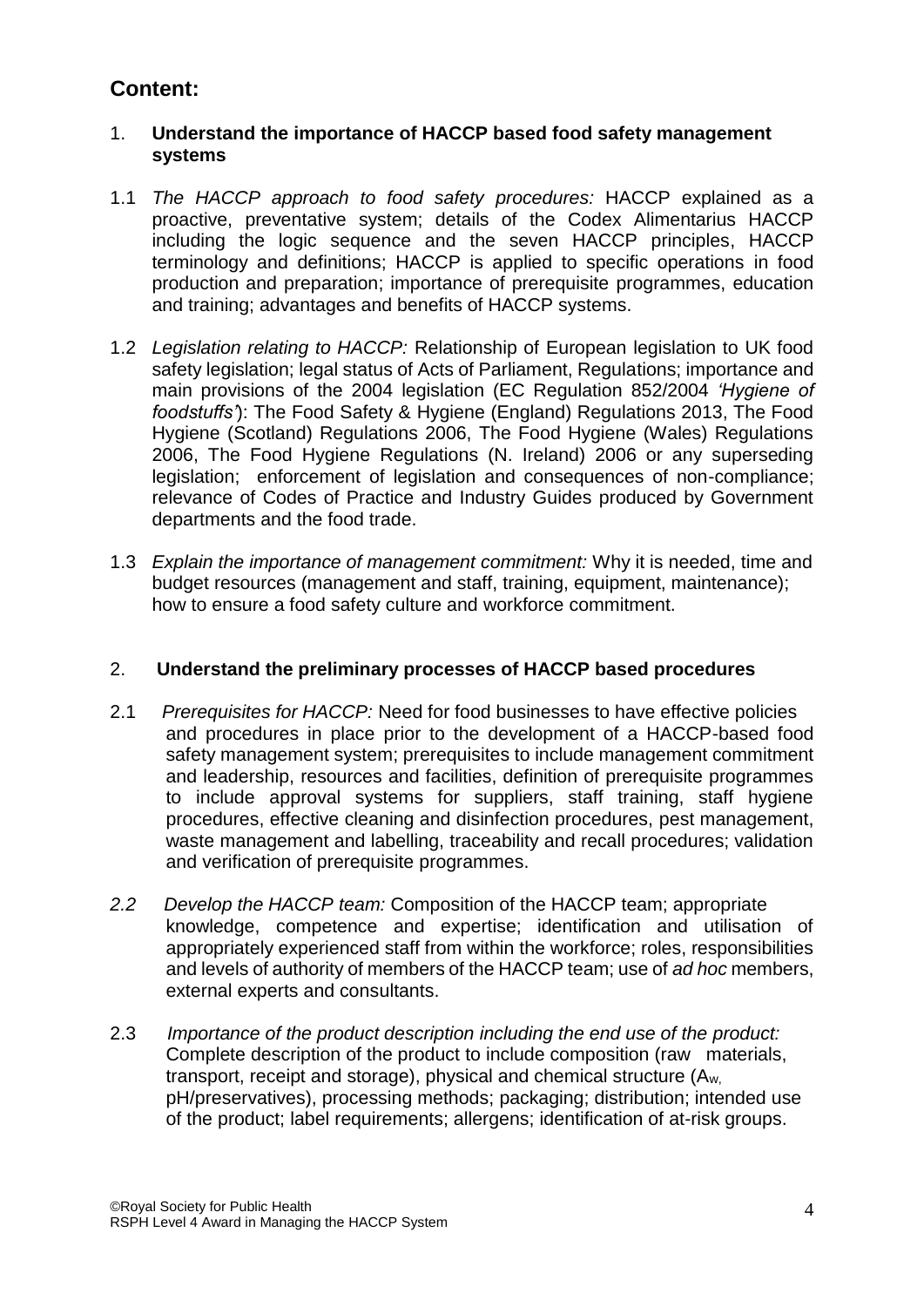# **Content:**

### 1. **Understand the importance of HACCP based food safety management systems**

- 1.1 *The HACCP approach to food safety procedures:* HACCP explained as a proactive, preventative system; details of the Codex Alimentarius HACCP including the logic sequence and the seven HACCP principles, HACCP terminology and definitions; HACCP is applied to specific operations in food production and preparation; importance of prerequisite programmes, education and training; advantages and benefits of HACCP systems.
- 1.2 *Legislation relating to HACCP:* Relationship of European legislation to UK food safety legislation; legal status of Acts of Parliament, Regulations; importance and main provisions of the 2004 legislation (EC Regulation 852/2004 *'Hygiene of foodstuffs'*): The Food Safety & Hygiene (England) Regulations 2013, The Food Hygiene (Scotland) Regulations 2006, The Food Hygiene (Wales) Regulations 2006, The Food Hygiene Regulations (N. Ireland) 2006 or any superseding legislation; enforcement of legislation and consequences of non-compliance; relevance of Codes of Practice and Industry Guides produced by Government departments and the food trade.
- 1.3 *Explain the importance of management commitment:* Why it is needed, time and budget resources (management and staff, training, equipment, maintenance); how to ensure a food safety culture and workforce commitment.

#### 2. **Understand the preliminary processes of HACCP based procedures**

- 2.1 *Prerequisites for HACCP:* Need for food businesses to have effective policies and procedures in place prior to the development of a HACCP-based food safety management system; prerequisites to include management commitment and leadership, resources and facilities, definition of prerequisite programmes to include approval systems for suppliers, staff training, staff hygiene procedures, effective cleaning and disinfection procedures, pest management, waste management and labelling, traceability and recall procedures; validation and verification of prerequisite programmes.
- *2.2 Develop the HACCP team:* Composition of the HACCP team; appropriate knowledge, competence and expertise; identification and utilisation of appropriately experienced staff from within the workforce; roles, responsibilities and levels of authority of members of the HACCP team; use of *ad hoc* members, external experts and consultants.
- 2.3 *Importance of the product description including the end use of the product:* Complete description of the product to include composition (raw materials, transport, receipt and storage), physical and chemical structure (Aw, pH/preservatives), processing methods; packaging; distribution; intended use of the product; label requirements; allergens; identification of at-risk groups.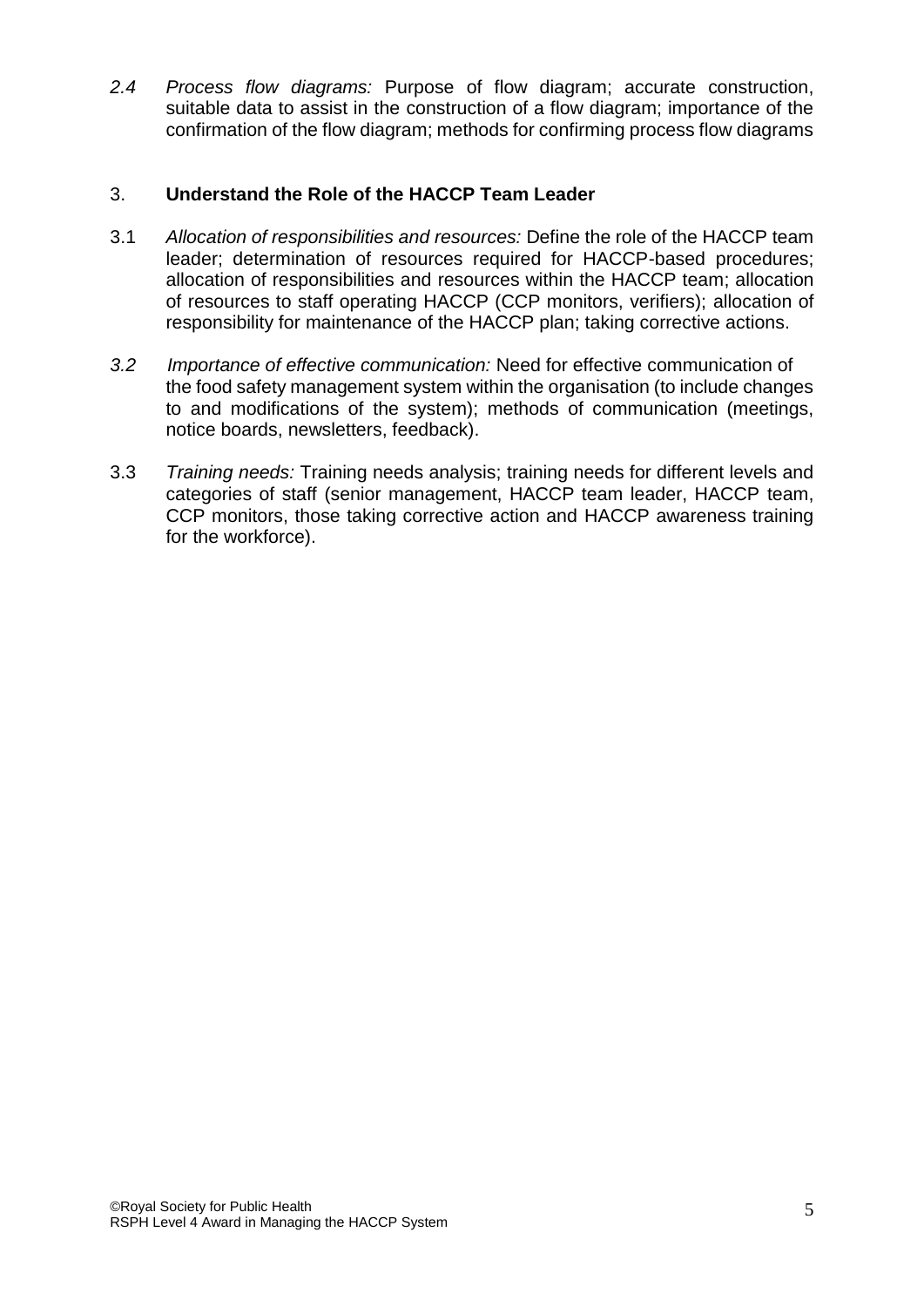*2.4 Process flow diagrams:* Purpose of flow diagram; accurate construction, suitable data to assist in the construction of a flow diagram; importance of the confirmation of the flow diagram; methods for confirming process flow diagrams

### 3. **Understand the Role of the HACCP Team Leader**

- 3.1 *Allocation of responsibilities and resources:* Define the role of the HACCP team leader; determination of resources required for HACCP-based procedures; allocation of responsibilities and resources within the HACCP team; allocation of resources to staff operating HACCP (CCP monitors, verifiers); allocation of responsibility for maintenance of the HACCP plan; taking corrective actions.
- *3.2 Importance of effective communication:* Need for effective communication of the food safety management system within the organisation (to include changes to and modifications of the system); methods of communication (meetings, notice boards, newsletters, feedback).
- 3.3 *Training needs:* Training needs analysis; training needs for different levels and categories of staff (senior management, HACCP team leader, HACCP team, CCP monitors, those taking corrective action and HACCP awareness training for the workforce).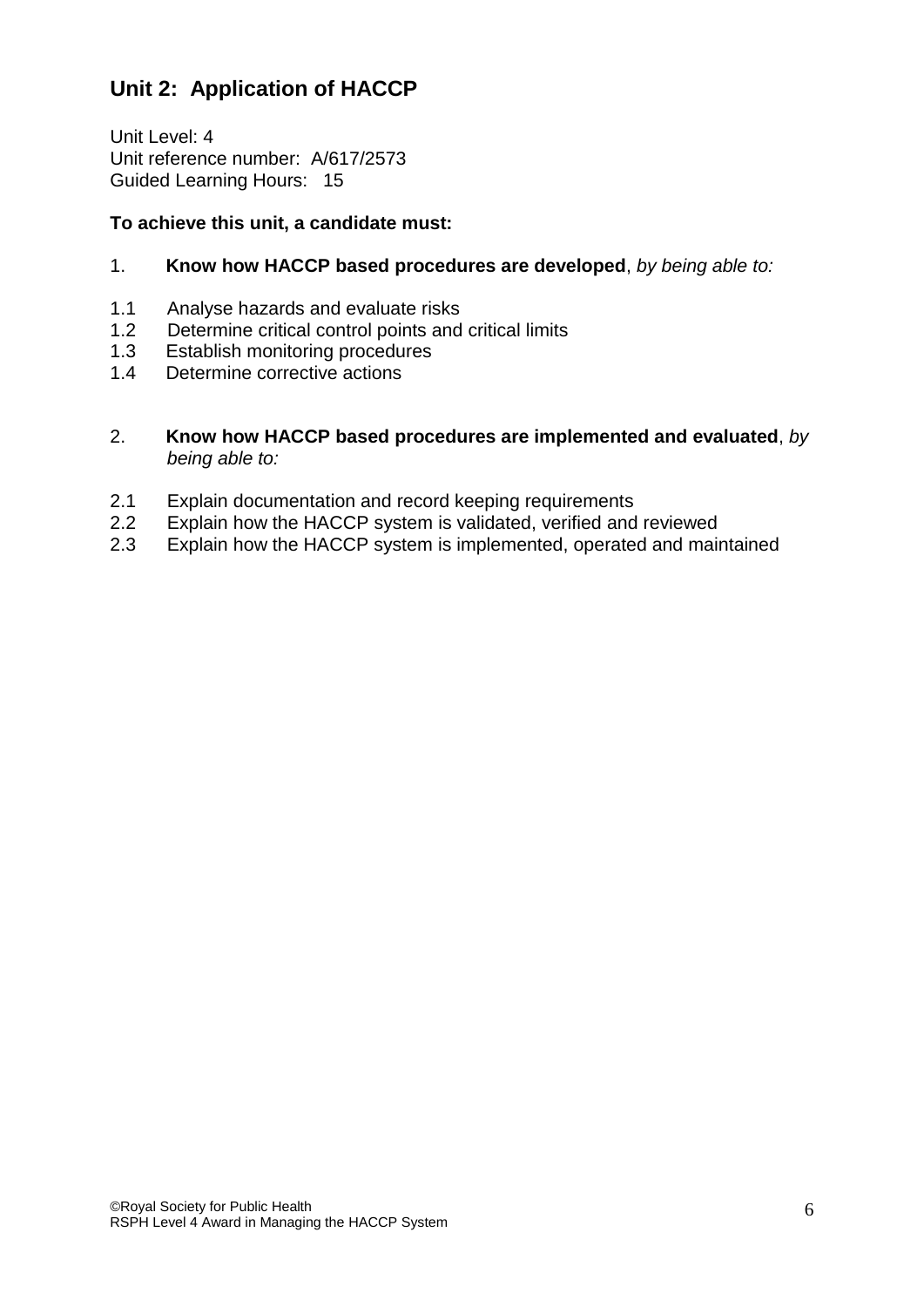# **Unit 2: Application of HACCP**

Unit Level: 4 Unit reference number: A/617/2573 Guided Learning Hours: 15

### **To achieve this unit, a candidate must:**

#### 1. **Know how HACCP based procedures are developed**, *by being able to:*

- 1.1 Analyse hazards and evaluate risks
- 1.2 Determine critical control points and critical limits
- 1.3 Establish monitoring procedures
- 1.4 Determine corrective actions
- 2. **Know how HACCP based procedures are implemented and evaluated**, *by being able to:*
- 2.1 Explain documentation and record keeping requirements
- 2.2 Explain how the HACCP system is validated, verified and reviewed
- 2.3 Explain how the HACCP system is implemented, operated and maintained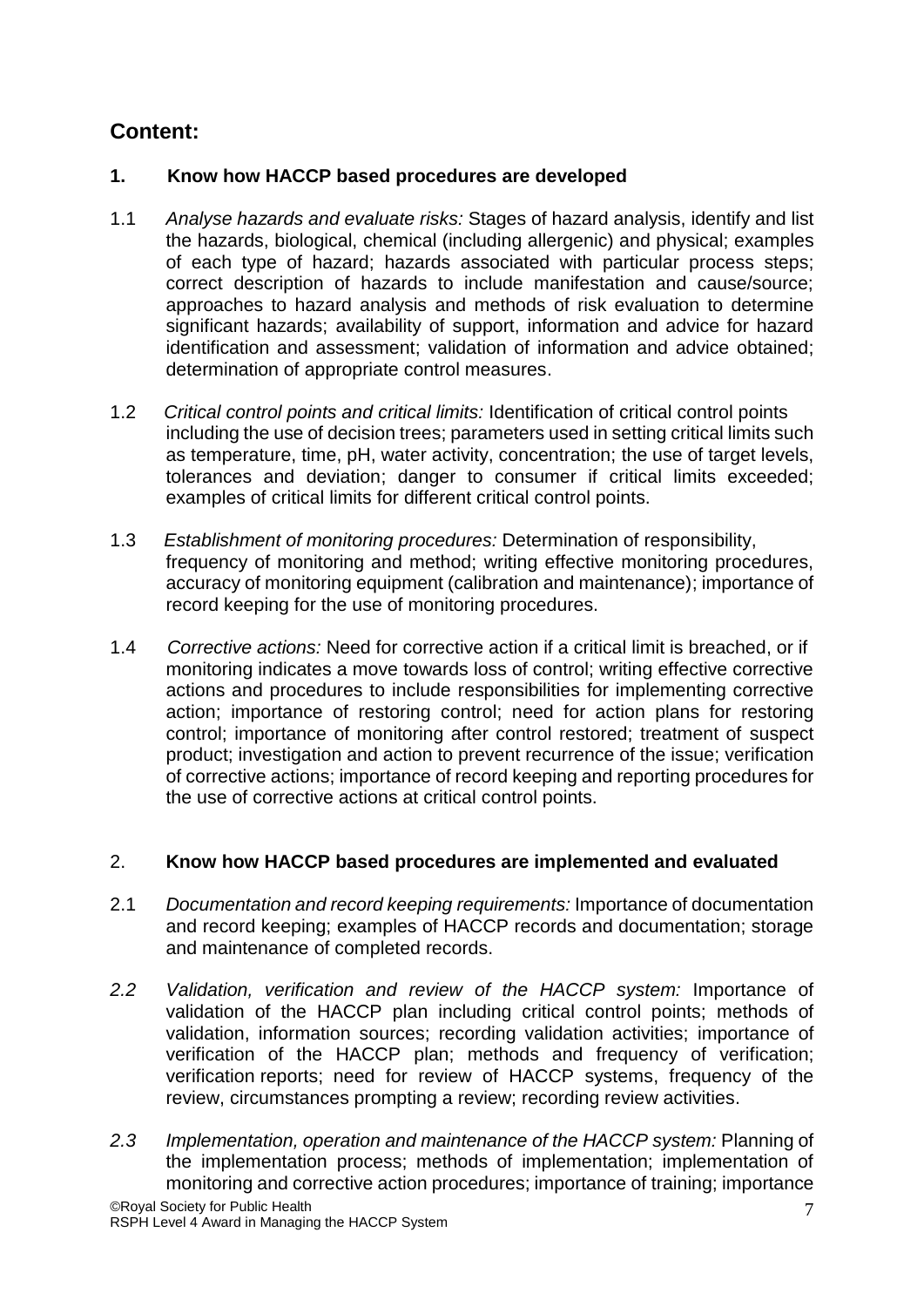# **Content:**

# **1. Know how HACCP based procedures are developed**

- 1.1 *Analyse hazards and evaluate risks:* Stages of hazard analysis, identify and list the hazards, biological, chemical (including allergenic) and physical; examples of each type of hazard; hazards associated with particular process steps; correct description of hazards to include manifestation and cause/source; approaches to hazard analysis and methods of risk evaluation to determine significant hazards; availability of support, information and advice for hazard identification and assessment; validation of information and advice obtained; determination of appropriate control measures.
- 1.2 *Critical control points and critical limits:* Identification of critical control points including the use of decision trees; parameters used in setting critical limits such as temperature, time, pH, water activity, concentration; the use of target levels, tolerances and deviation; danger to consumer if critical limits exceeded; examples of critical limits for different critical control points.
- 1.3 *Establishment of monitoring procedures:* Determination of responsibility, frequency of monitoring and method; writing effective monitoring procedures, accuracy of monitoring equipment (calibration and maintenance); importance of record keeping for the use of monitoring procedures.
- 1.4 *Corrective actions:* Need for corrective action if a critical limit is breached, or if monitoring indicates a move towards loss of control; writing effective corrective actions and procedures to include responsibilities for implementing corrective action; importance of restoring control; need for action plans for restoring control; importance of monitoring after control restored; treatment of suspect product; investigation and action to prevent recurrence of the issue; verification of corrective actions; importance of record keeping and reporting procedures for the use of corrective actions at critical control points.

# 2. **Know how HACCP based procedures are implemented and evaluated**

- 2.1 *Documentation and record keeping requirements:* Importance of documentation and record keeping; examples of HACCP records and documentation; storage and maintenance of completed records.
- *2.2 Validation, verification and review of the HACCP system:* Importance of validation of the HACCP plan including critical control points; methods of validation, information sources; recording validation activities; importance of verification of the HACCP plan; methods and frequency of verification; verification reports; need for review of HACCP systems, frequency of the review, circumstances prompting a review; recording review activities.
- *2.3 Implementation, operation and maintenance of the HACCP system:* Planning of the implementation process; methods of implementation; implementation of monitoring and corrective action procedures; importance of training; importance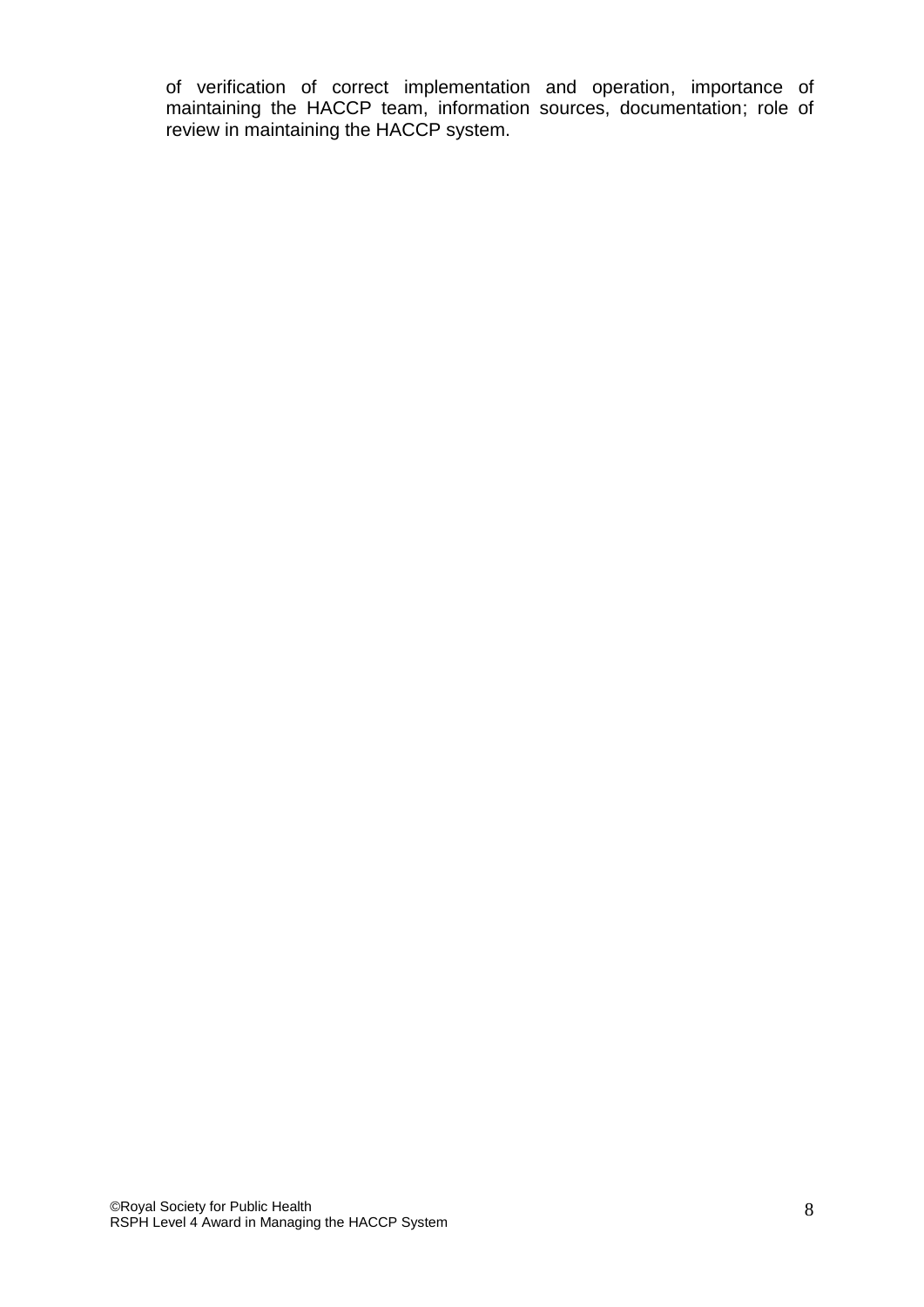of verification of correct implementation and operation, importance of maintaining the HACCP team, information sources, documentation; role of review in maintaining the HACCP system.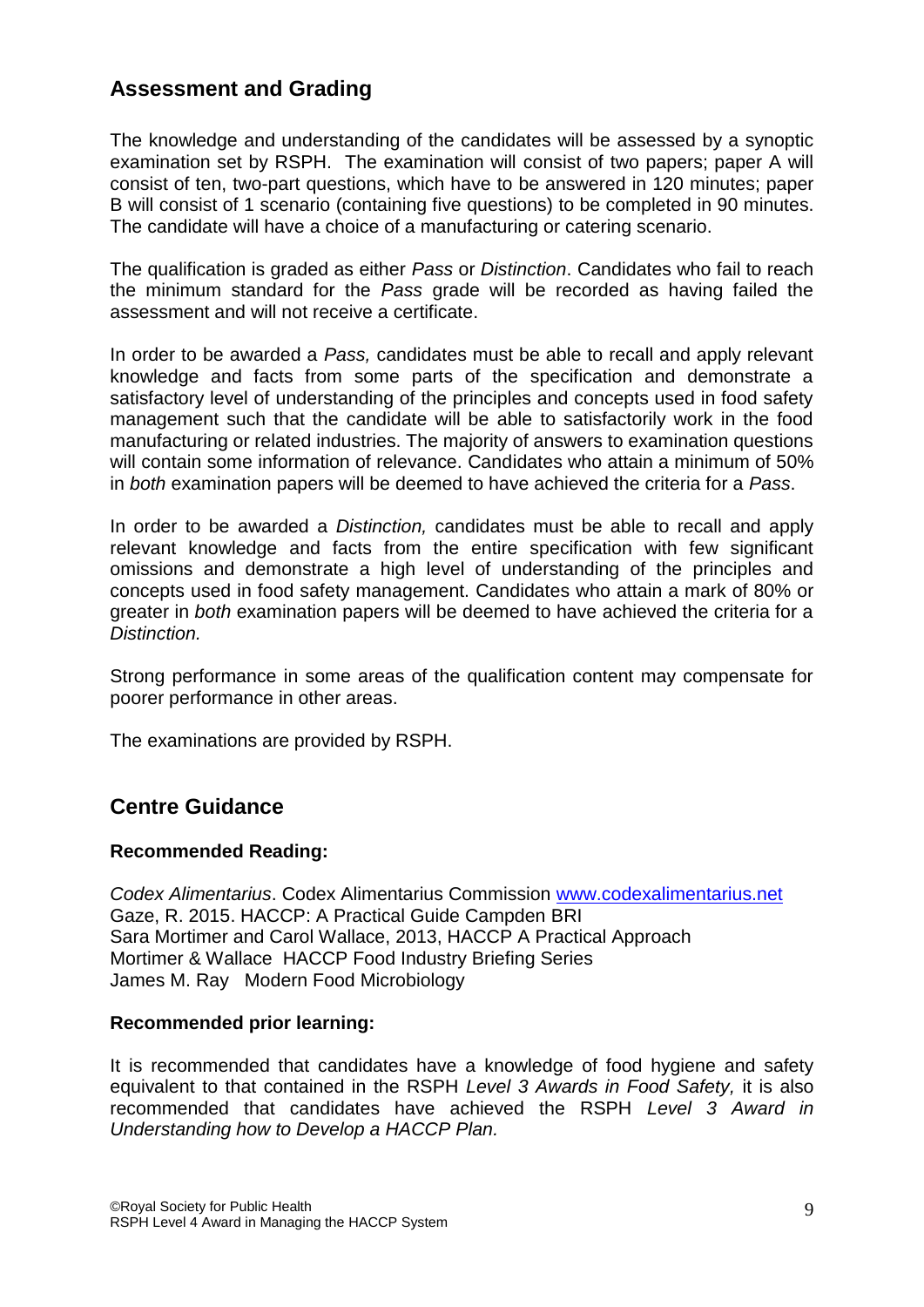# **Assessment and Grading**

The knowledge and understanding of the candidates will be assessed by a synoptic examination set by RSPH. The examination will consist of two papers; paper A will consist of ten, two-part questions, which have to be answered in 120 minutes; paper B will consist of 1 scenario (containing five questions) to be completed in 90 minutes. The candidate will have a choice of a manufacturing or catering scenario.

The qualification is graded as either *Pass* or *Distinction*. Candidates who fail to reach the minimum standard for the *Pass* grade will be recorded as having failed the assessment and will not receive a certificate.

In order to be awarded a *Pass,* candidates must be able to recall and apply relevant knowledge and facts from some parts of the specification and demonstrate a satisfactory level of understanding of the principles and concepts used in food safety management such that the candidate will be able to satisfactorily work in the food manufacturing or related industries. The majority of answers to examination questions will contain some information of relevance. Candidates who attain a minimum of 50% in *both* examination papers will be deemed to have achieved the criteria for a *Pass*.

In order to be awarded a *Distinction,* candidates must be able to recall and apply relevant knowledge and facts from the entire specification with few significant omissions and demonstrate a high level of understanding of the principles and concepts used in food safety management. Candidates who attain a mark of 80% or greater in *both* examination papers will be deemed to have achieved the criteria for a *Distinction.*

Strong performance in some areas of the qualification content may compensate for poorer performance in other areas.

The examinations are provided by RSPH.

# **Centre Guidance**

#### **Recommended Reading:**

*Codex Alimentarius*. Codex Alimentarius Commission [www.codexalimentarius.net](http://www.codexalimentarius.net/) Gaze, R. 2015. HACCP: A Practical Guide Campden BRI Sara Mortimer and Carol Wallace, 2013, HACCP A Practical Approach Mortimer & Wallace HACCP Food Industry Briefing Series James M. Ray Modern Food Microbiology

#### **Recommended prior learning:**

It is recommended that candidates have a knowledge of food hygiene and safety equivalent to that contained in the RSPH *Level 3 Awards in Food Safety,* it is also recommended that candidates have achieved the RSPH *Level 3 Award in Understanding how to Develop a HACCP Plan.*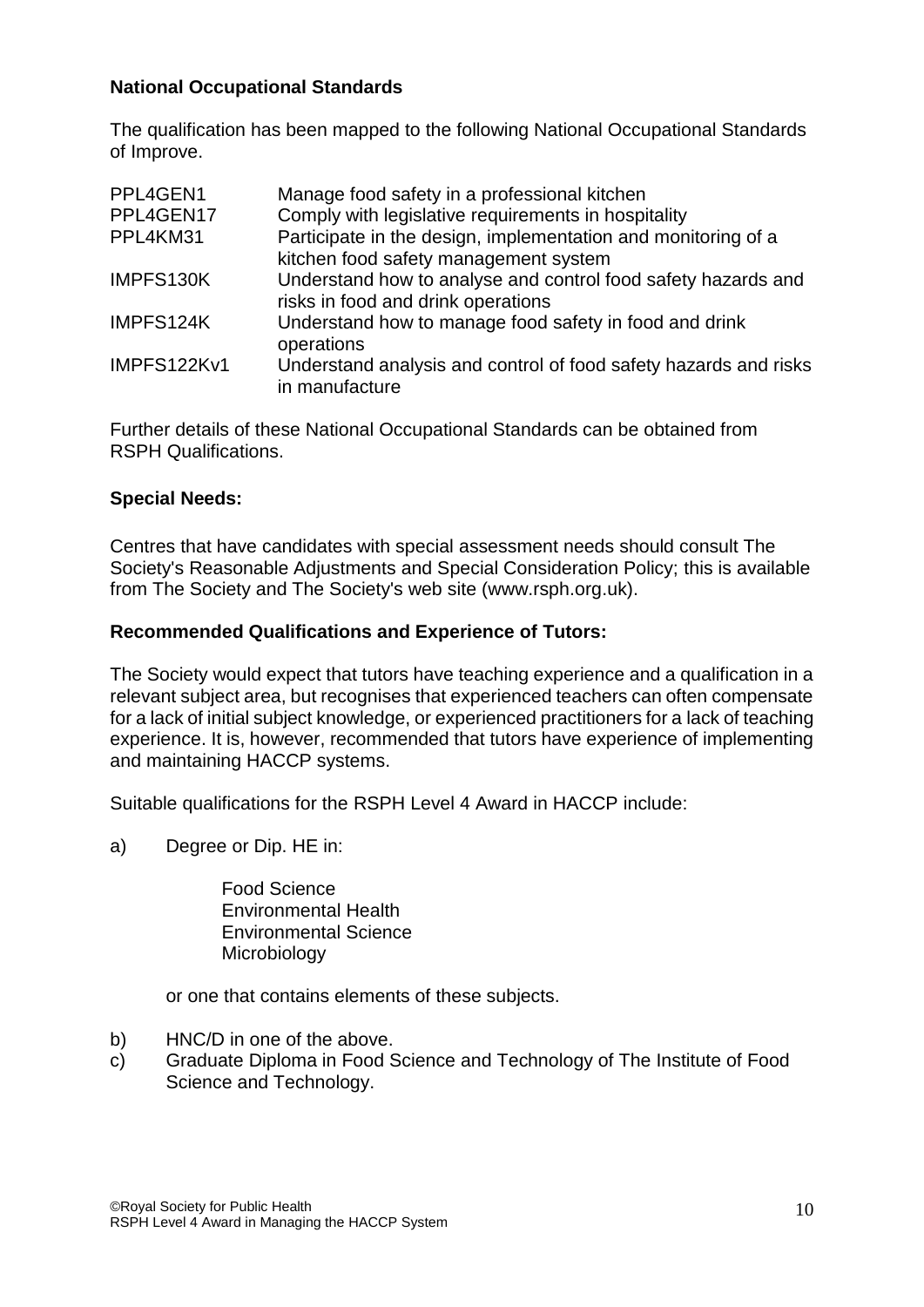### **National Occupational Standards**

The qualification has been mapped to the following National Occupational Standards of Improve.

| PPL4GEN1    | Manage food safety in a professional kitchen                     |
|-------------|------------------------------------------------------------------|
| PPL4GEN17   | Comply with legislative requirements in hospitality              |
| PPL4KM31    | Participate in the design, implementation and monitoring of a    |
|             | kitchen food safety management system                            |
| IMPFS130K   | Understand how to analyse and control food safety hazards and    |
|             | risks in food and drink operations                               |
| IMPFS124K   | Understand how to manage food safety in food and drink           |
|             | operations                                                       |
| IMPFS122Kv1 | Understand analysis and control of food safety hazards and risks |
|             | in manufacture                                                   |

Further details of these National Occupational Standards can be obtained from RSPH Qualifications.

#### **Special Needs:**

Centres that have candidates with special assessment needs should consult The Society's Reasonable Adjustments and Special Consideration Policy; this is available from The Society and The Society's web site (www.rsph.org.uk).

#### **Recommended Qualifications and Experience of Tutors:**

The Society would expect that tutors have teaching experience and a qualification in a relevant subject area, but recognises that experienced teachers can often compensate for a lack of initial subject knowledge, or experienced practitioners for a lack of teaching experience. It is, however, recommended that tutors have experience of implementing and maintaining HACCP systems.

Suitable qualifications for the RSPH Level 4 Award in HACCP include:

a) Degree or Dip. HE in:

Food Science Environmental Health Environmental Science **Microbiology** 

or one that contains elements of these subjects.

- b) HNC/D in one of the above.
- c) Graduate Diploma in Food Science and Technology of The Institute of Food Science and Technology.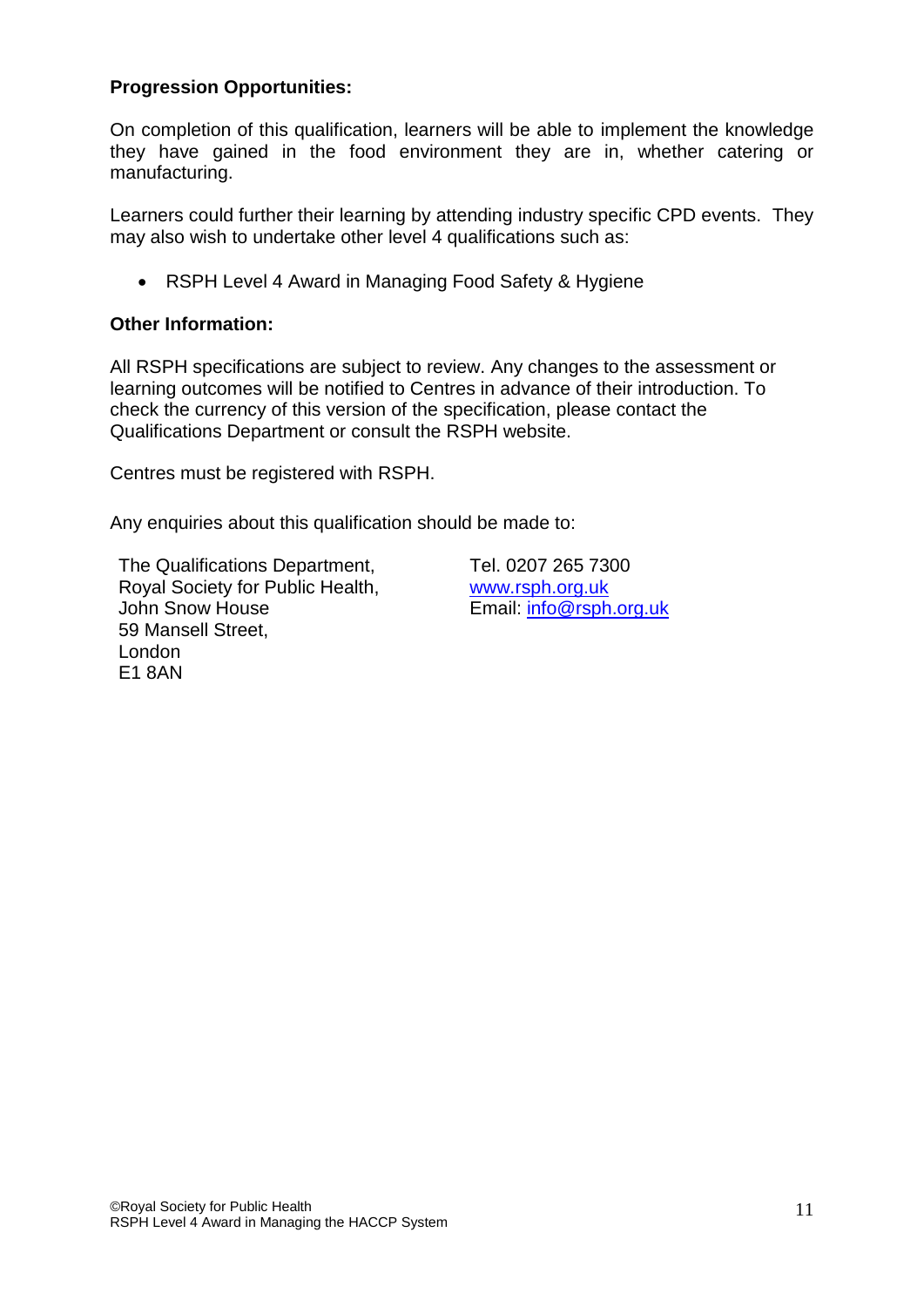### **Progression Opportunities:**

On completion of this qualification, learners will be able to implement the knowledge they have gained in the food environment they are in, whether catering or manufacturing.

Learners could further their learning by attending industry specific CPD events. They may also wish to undertake other level 4 qualifications such as:

• RSPH Level 4 Award in Managing Food Safety & Hygiene

### **Other Information:**

All RSPH specifications are subject to review. Any changes to the assessment or learning outcomes will be notified to Centres in advance of their introduction. To check the currency of this version of the specification, please contact the Qualifications Department or consult the RSPH website.

Centres must be registered with RSPH.

Any enquiries about this qualification should be made to:

The Qualifications Department, Tel. 0207 265 7300 Royal Society for Public Health, [www.rsph.org.uk](http://www.rsph.org.uk/) John Snow House **Email:** [info@rsph.org.uk](mailto:info@rsph.org.uk) 59 Mansell Street, London E1 8AN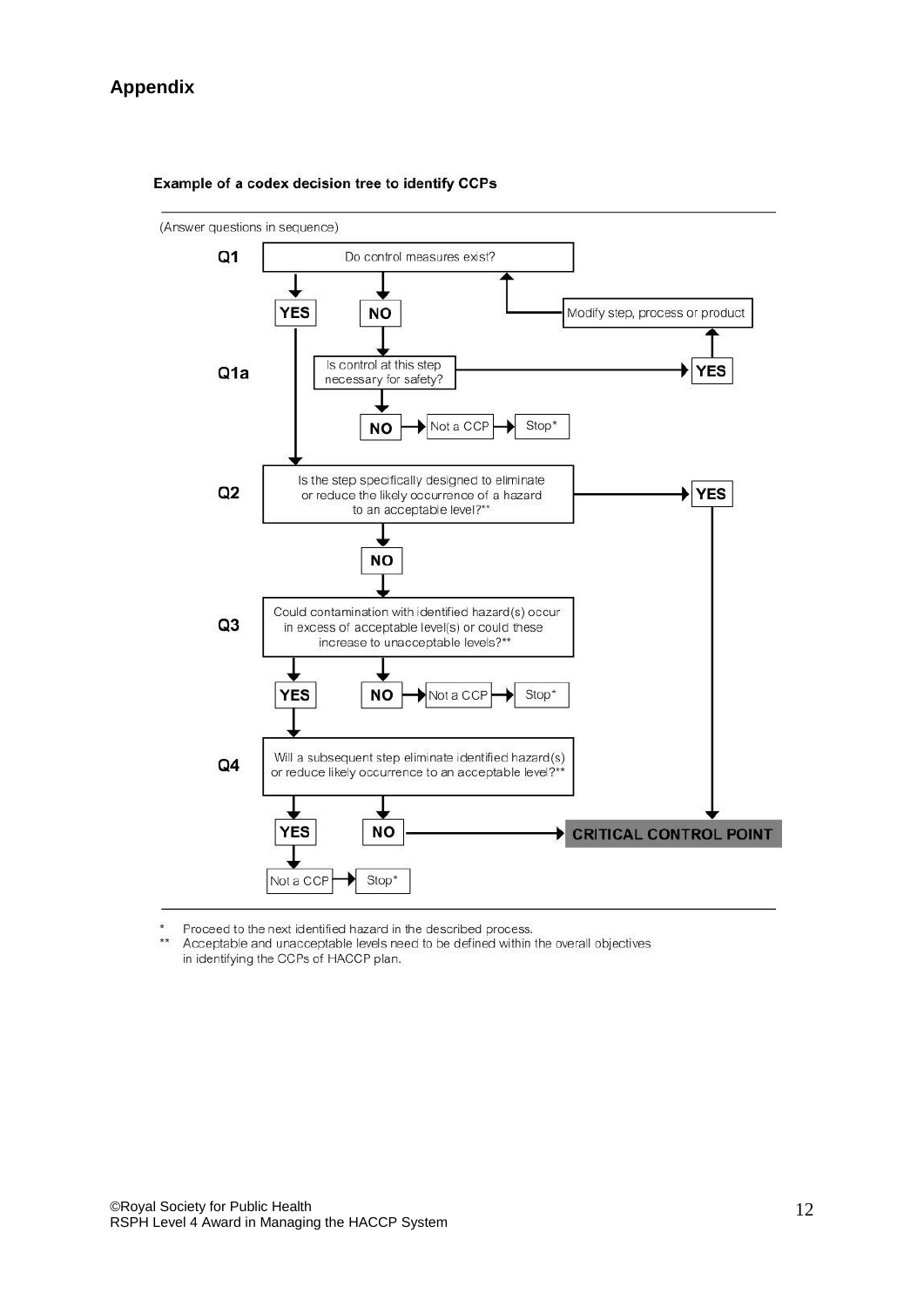### **Appendix**



#### Example of a codex decision tree to identify CCPs

Proceed to the next identified hazard in the described process.

 $\star\star$ Acceptable and unacceptable levels need to be defined within the overall objectives in identifying the CCPs of HACCP plan.